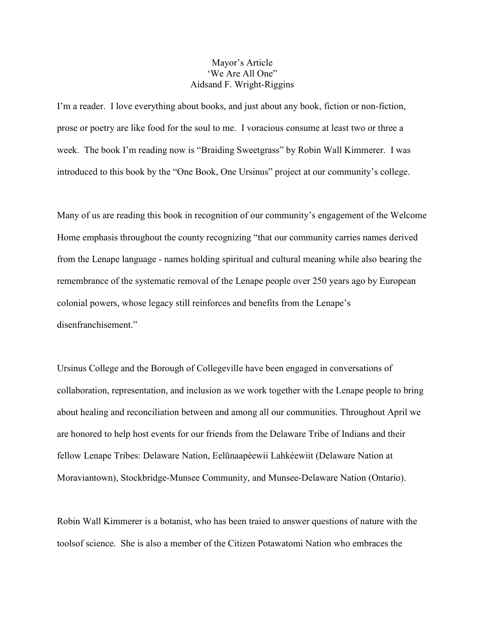## Mayor's Article 'We Are All One" Aidsand F. Wright-Riggins

I'm a reader. I love everything about books, and just about any book, fiction or non-fiction, prose or poetry are like food for the soul to me. I voracious consume at least two or three a week. The book I'm reading now is "Braiding Sweetgrass" by Robin Wall Kimmerer. I was introduced to this book by the "One Book, One Ursinus" project at our community's college.

Many of us are reading this book in recognition of our community's engagement of the Welcome Home emphasis throughout the county recognizing "that our community carries names derived from the Lenape language - names holding spiritual and cultural meaning while also bearing the remembrance of the systematic removal of the Lenape people over 250 years ago by European colonial powers, whose legacy still reinforces and benefits from the Lenape's disenfranchisement."

Ursinus College and the Borough of Collegeville have been engaged in conversations of collaboration, representation, and inclusion as we work together with the Lenape people to bring about healing and reconciliation between and among all our communities. Throughout April we are honored to help host events for our friends from the Delaware Tribe of Indians and their fellow Lenape Tribes: Delaware Nation, Eelūnaapèewii Lahkèewiit (Delaware Nation at Moraviantown), Stockbridge-Munsee Community, and Munsee-Delaware Nation (Ontario).

Robin Wall Kimmerer is a botanist, who has been traied to answer questions of nature with the toolsof science. She is also a member of the Citizen Potawatomi Nation who embraces the